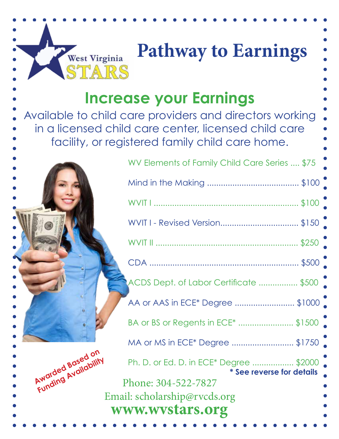## **Pathway to Earnings** STARS

## **Increase your Earnings**

West Virginia

Available to child care providers and directors working in a licensed child care center, licensed child care facility, or registered family child care home.

Awarded Based on

## WV Elements of Family Child Care Series .... \$75 Mind in the Making ........................................ \$100 WVIT I ............................................................... \$100 WVIT I - Revised Version.................................. \$150 WVIT II .............................................................. \$250 CDA ................................................................. \$500 ACDS Dept. of Labor Certificate ................. \$500 AA or AAS in ECE\* Degree .............................\$1000 BA or BS or Regents in ECE\* ........................ \$1500 MA or MS in ECE\* Degree ........................... \$1750 Ph. D. or Ed. D. in ECE\* Degree .................. \$2000 **\* See reverse for details www.wvstars.org** Phone: 304-522-7827 Email: scholarship@rvcds.org **Funding Availability**